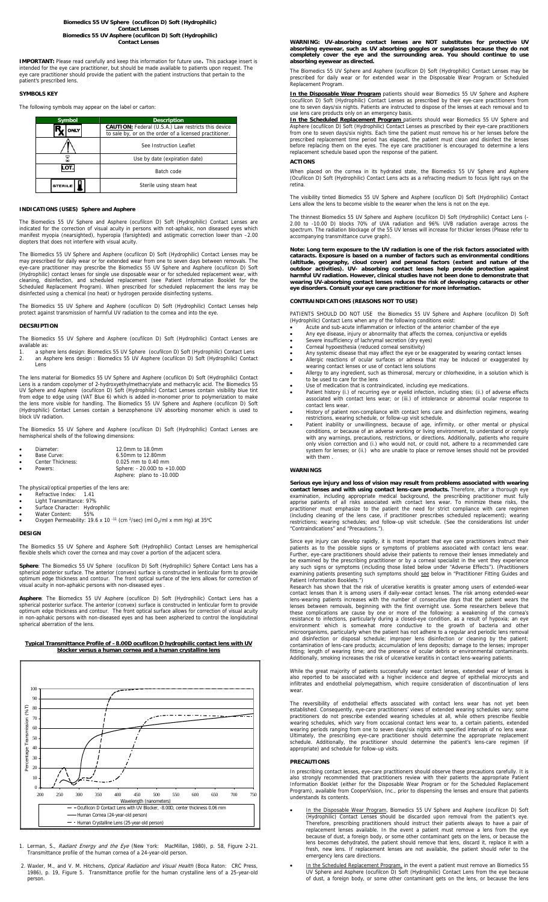# **Biomedics 55 UV Sphere (ocufilcon D) Soft (Hydrophilic) Contact Lenses Biomedics 55 UV Asphere (ocufilcon D) Soft (Hydrophilic) Contact Lenses**

**IMPORTANT:** Please read carefully and keep this information for future use. This package insert is<br>intended for the eye care practitioner, but should be made available to patients upon request. The<br>eye care practitioner s eye care practitioner sho<br>patient's prescribed lens.

## **SYMBOLS KEY**

The following symbols may appear on the label or carton:

| Symbol         | <b>Description</b>                                                                                                    |
|----------------|-----------------------------------------------------------------------------------------------------------------------|
| ONLY           | <b>CAUTION:</b> Federal (U.S.A.) Law restricts this device<br>to sale by, or on the order of a licensed practitioner. |
|                | See Instruction Leaflet                                                                                               |
|                | Use by date (expiration date)                                                                                         |
| ≁ە∡            | Batch code                                                                                                            |
| <b>STERILE</b> | Sterile using steam heat                                                                                              |

#### **INDICATIONS (USES) Sphere and Asphere**

edics 55 UV Sphere and Asphere (ocufilcon D) Soft (Hydrophilic) Contact Lenses are indicated for the correction of visual acuity in persons with not-aphakic, non diseased eyes which manifest myopia (nearsighted), hyperopia (farsighted) and astigmatic correction lower than –2.00 diopters that does not interfere with visual acuity.

The Biomedics 55 UV Sphere and Asphere (ocufilcon D) Soft (Hydrophilic) Contact Lenses may be<br>may prescribed for daily wear or for extended wear from one to seven days between removals. The<br>eye-care practitioner may prescr cleaning, disinfection, and scheduled replacement (see Patient Information Booklet for the Scheduled Replacement Program). When prescribed for scheduled replacement the lens may be disinfected using a chemical (no heat) or hydrogen peroxide disinfecting systems.

The Biomedics 55 UV Sphere and Asphere (ocufilcon D) Soft (Hydrophilic) Contact Lenses help protect against transmission of harmful UV radiation to the cornea and into the eye.

#### **DECSRIPTION**

The Biomedics 55 UV Sphere and Asphere (ocufilcon D) Soft (Hydrophilic) Contact Lenses are

available as: 1. a sphere lens design: Biomedics 55 UV Sphere (ocufilcon D) Soft (Hydrophilic) Contact Lens 2. an Asphere lens design : Biomedics 55 UV Asphere (ocufilcon D) Soft (Hydrophilic) Contact Lens

The lens material for Biomedics 55 UV Sphere and Asphere (ocufilcon D) Soft (Hydrophilic) Contact<br>Lens is a random copolymer of 2-hydroxyethylmethacrylate and methacrylic acid. The Biomedics 55<br>UV Sphere and Asphere (ocufi block UV radiation.

The Biomedics 55 UV Sphere and Asphere (ocufilcon D) Soft (Hydrophilic) Contact Lenses are hemispherical shells of the following dimensions:

| Diameter:         | 12.0mm to 18.0mm         |
|-------------------|--------------------------|
| Base Curve:       | 6.50mm to 12.80mm        |
| Center Thickness: | $0.025$ mm to $0.40$ mm  |
| <b>D</b>          | $0.1.1.1$ 00.000 $1.1.1$ |

|   | Base Curve:       | 6.50mm to 12.80mm           |
|---|-------------------|-----------------------------|
| ۰ | Center Thickness: | $0.025$ mm to $0.40$ mm     |
|   | Powers:           | Sphere: - 20.00D to +10.00D |
|   |                   | Asphere: plano to -10.00D   |

The physical/optical properties of the lens are:<br>• Refractive Index:  $1.41$ 

- 
- 
- Refractive Index: 1.41 Light Transmittance: 97% Surface Character: Hydrophilic Water Content: 55%
- Oxygen Permeability: 19.6 x 10<sup>-11</sup> (cm<sup>2</sup>/sec) (ml O<sub>2</sub>/ml x mm Hg) at 35<sup>o</sup>C

#### **DESIGN**

The Biomedics 55 UV Sphere and Asphere Soft (Hydrophilic) Contact Lenses are hemispherical flexible shells which cover the cornea and may cover a portion of the adjacent sclera.

**Sphere**: The Biomedics 55 UV Sphere (ocufilcon D) Soft (Hydrophilic) Sphere Contact Lens has a spherical posterior surface. The anterior (convex) surface is constructed in lenticular form to provide optimum edge thickness and contour. The front optical surface of the lens allows for correction of visual acuity in non-aphakic persons with non-diseased eyes .

**Asphere:** The Biomedics 55 UV Asphere (ocufilcon D) Soft (Hydrophilic) Contact Lens has a<br>spherical posterior surface. The anterior (convex) surface is constructed in lenticular form to provide<br>optimum edge thickness and spherical aberration of the lens.

#### **Typical Transmittance Profile of –8.00D ocufilcon D hydrophilic contact lens with UV blocker versus a human cornea and a human crystalline lens**



1. Lerman, S., Radiant Energy and the Eye (New York: MacMillan, 1980), p. 58, Figure 2-21.<br>Transmittance profile of the human cornea of a 24-year-old person.

2. Waxler, M., and V. M. Hitchens, *Optical Radiation and Visual Health* (Boca Raton: CRC Press, 1986), p. 19, Figure 5. Transmittance profile for the human crystalline lens of a 25-year-old person.

WARNING: UV-absorbing contact lenses are NOT substitutes for protective UV<br>absorbing eyewear, such as UV absorbing goggles or sunglasses because they do not<br>completely cover the eye and the surrounding area. You should con **absorbing eyewear as directed.** 

The Biomedics 55 UV Sphere and Asphere (ocufilcon D) Soft (Hydrophilic) Contact Lenses may be prescribed for daily wear or for extended wear in the Disposable Wear Program or Scheduled The Biomedies 33 OV<br>prescribed for daily v<br>Replacement Program.

**In the Disposable Wear Program** patients should wear Biomedics 55 UV Sphere and Asphere (ocufilcon D) Soft (Hydrophilic) Contact Lenses as prescribed by their eye-care practitioners from one to seven days/six nights. Patients are instructed to dispose of the lenses at each removal and to use lens care products only on an emergency basis.

<u>In the Scheduled Replacement Program p</u>atients should wear Biomedics 55 UV Sphere and<br>Asphere (ocufilion D) Soft (Hydrophilic) Contact Lenses as prescribed by their eye-care practitioners<br>from one to seven days/six nights prescribed replacement time period has elapsed, the patient must clean and disinfect the lenses<br>before replacing them on the eyes. The eye care practitioner is encouraged to determine a lens<br>replacement schedule based upon

#### **ACTIONS**

When placed on the cornea in its hydrated state, the Biomedics 55 UV Sphere and Asphere (Ocufilcon D) Soft (Hydrophilic) Contact Lens acts as a refracting medium to focus light rays on the retina.

The visibility tinted Biomedics 55 UV Sphere and Asphere (ocufilcon D) Soft (Hydrophilic) Contact Lens allow the lens to become visible to the wearer when the lens is not on the eye.

thinnest Biomedics 55 UV Sphere and Asphere (ocufilcon D) Soft (Hydrophilic) Contact Lens (-2.00 to -10.00 D) blocks 70% of UVA radiation and 96% UVB radiation average across the spectrum. The radiation blockage of the 55 UV lenses will increase for thicker lenses (Please refer to accompanying transmittance curve graph).

**Note: Long term exposure to the UV radiation is one of the risk factors associated with cataracts. Exposure is based on a number of factors such as environmental conditions**  (altitude, geography, cloud cover) and personal factors (extent and nature of the<br>outdoor activities). UV- absorbing contact lenses help provide protection against<br>harmful UV radiation. However, clinical studies have not b **wearing UV-absorbing contact lenses reduces the risk of developing cataracts or other eye disorders. Consult your eye care practitioner for more information.** 

## **CONTRAINDICATIONS (REASONS NOT TO USE)**

PATIENTS SHOULD DO NOT USE the Biomedics 55 UV Sphere and Asphere (ocufilcon D) Soft

- (Hydrophilic) Contact Lens when any of the following conditions exist:<br>• Acute and sub-acute inflammation or infection of the anterior chamber of the eye<br>• Any eye disease, injury or abormality that affects the cornea, con
- 
- 
- 
- Corneal hypoesthesia (reduced corneal sensitivity)<br>• Any systemic disease that may affect the eye or be exaggerated by wearing contact lenses<br>• Allergic reactions of ocular surfaces or adnexa that may be induced or exagg
- 
- Use of medication that is contraindicated, including eye medications.
- Patient history (i.) of recurring eye or eyelid infection, including sties; (ii.) of adverse effects associated with contact lens wear; or (iii.) of intolerance or abnormal ocular response to
- 
- associated with contact lens wear; or (iii.) of intolerance or abnormal ocular response to<br>
contact lens wear.<br>
History of patient non-compliance with contact lens care and disinfection regimens, wearing<br>
restrictions, wea

#### **WARNINGS**

Serious eye injury and loss of vision may result from problems associated with wearing<br>contact lenses and with using contact lens-care products. Therefore, after a thorough eye<br>examination, including appropriate medical ba (including cleaning of the lens case, if practitioner prescribes scheduled replacement); wearing<br>restrictions; wearing schedules; and follow-up visit schedule. (See the considerations list under<br>"Contraindications" and "Pr

Since eye injury can develop rapidly, it is most important that eye care practitioners instruct their patients as to the possible signs or symptoms of problems associated with contact lens wear.

Further, eye-care practitioners should advise their patients to remove their lenses immediately and<br>be examined by the prescribing practitioner or by a corneal specialist in the vent they experience<br>any such signs or sympt

While the great majority of patients successfully wear contact lenses, extended wear of lenses is<br>also reported to be associated with a higher incidence and degree of epithelial microcysts and<br>infiltrates and endothelial p

reversibility of endothelial effects associated with contact lens wear has not yet been established. Consequently, eye-care practitioners' views of extended wearing schedules vary; some<br>practitioners do not prescribe extended wearing schedules at all, while others prescribe flexible<br>wearing schedules, which v wearing periods ranging from one to seven days/six nights with specified intervals of no lens wear.<br>Ultimately, the prescribing eye-care practitioner should determine the appropriate replacement<br>schedule. Additionally, the

#### **PRECAUTIONS**

In prescribing contact lenses, eye-care practitioners should observe these precautions carefully. It is<br>also strongly recommended that practitioners review with their patients the appropriate Patient<br>Information Booklet (e understands its contents.

- In the Disposable Wear Program, Biomedics 55 UV Sphere and Asphere (ocufilcon D) Soft (Hydrophilic) Contact Lenses should be discarded upon removal from the patient's eye. Therefore, prescribing practitioners should inst lens becomes dehydrated, the patient should remove that lens, discard it, replace it with a fresh, new lens. If replacement lenses are not available, the patient should refer to the emergency lens care directions.
- In the Scheduled Replacement Program, in the event a patient must remove an Biomedics 55<br>UV Sphere and Asphere (ocufilion D) Soft (Hydrophilic) Contact Lens from the eye because<br>of dust, a foreign body, or some other conta